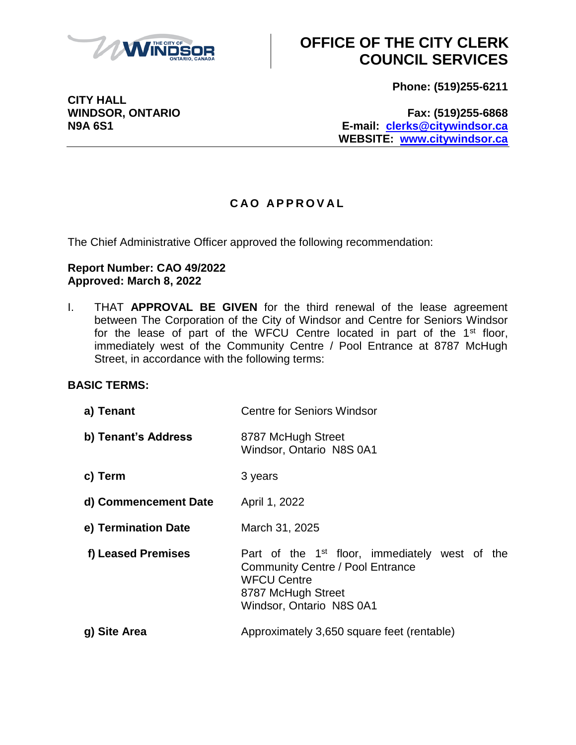

**Phone: (519)255-6211**

**CITY HALL**

**WINDSOR, ONTARIO Fax: (519)255-6868 N9A 6S1 E-mail: [clerks@citywindsor.ca](mailto:clerks@citywindsor.ca) WEBSITE: [www.citywindsor.ca](http://www.citywindsor.ca/)**

### **C A O A P P R O V A L**

The Chief Administrative Officer approved the following recommendation:

#### **Report Number: CAO 49/2022 Approved: March 8, 2022**

I. THAT **APPROVAL BE GIVEN** for the third renewal of the lease agreement between The Corporation of the City of Windsor and Centre for Seniors Windsor for the lease of part of the WFCU Centre located in part of the  $1<sup>st</sup>$  floor, immediately west of the Community Centre / Pool Entrance at 8787 McHugh Street, in accordance with the following terms:

### **BASIC TERMS:**

| a) Tenant            | <b>Centre for Seniors Windsor</b>                                                                                                                                             |
|----------------------|-------------------------------------------------------------------------------------------------------------------------------------------------------------------------------|
| b) Tenant's Address  | 8787 McHugh Street<br>Windsor, Ontario N8S 0A1                                                                                                                                |
| c) Term              | 3 years                                                                                                                                                                       |
| d) Commencement Date | April 1, 2022                                                                                                                                                                 |
| e) Termination Date  | March 31, 2025                                                                                                                                                                |
| f) Leased Premises   | Part of the 1 <sup>st</sup> floor, immediately west of the<br><b>Community Centre / Pool Entrance</b><br><b>WFCU Centre</b><br>8787 McHugh Street<br>Windsor, Ontario N8S 0A1 |
| g) Site Area         | Approximately 3,650 square feet (rentable)                                                                                                                                    |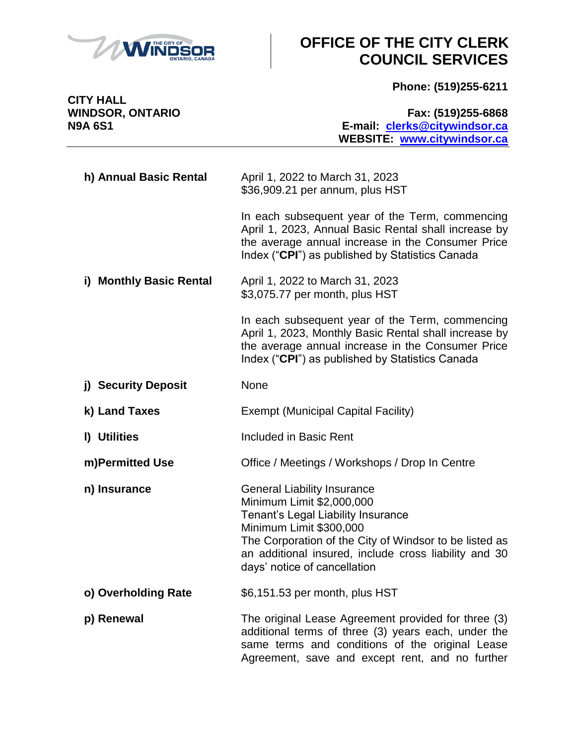

**Phone: (519)255-6211**

**CITY HALL**

**WINDSOR, ONTARIO Fax: (519)255-6868 N9A 6S1 E-mail: [clerks@citywindsor.ca](mailto:clerks@citywindsor.ca) WEBSITE: [www.citywindsor.ca](http://www.citywindsor.ca/)**

| h) Annual Basic Rental  | April 1, 2022 to March 31, 2023<br>\$36,909.21 per annum, plus HST                                                                                                                                                                                                                  |
|-------------------------|-------------------------------------------------------------------------------------------------------------------------------------------------------------------------------------------------------------------------------------------------------------------------------------|
|                         | In each subsequent year of the Term, commencing<br>April 1, 2023, Annual Basic Rental shall increase by<br>the average annual increase in the Consumer Price<br>Index ("CPI") as published by Statistics Canada                                                                     |
| i) Monthly Basic Rental | April 1, 2022 to March 31, 2023<br>\$3,075.77 per month, plus HST                                                                                                                                                                                                                   |
|                         | In each subsequent year of the Term, commencing<br>April 1, 2023, Monthly Basic Rental shall increase by<br>the average annual increase in the Consumer Price<br>Index ("CPI") as published by Statistics Canada                                                                    |
| j) Security Deposit     | <b>None</b>                                                                                                                                                                                                                                                                         |
| k) Land Taxes           | <b>Exempt (Municipal Capital Facility)</b>                                                                                                                                                                                                                                          |
| I) Utilities            | Included in Basic Rent                                                                                                                                                                                                                                                              |
| m)Permitted Use         | Office / Meetings / Workshops / Drop In Centre                                                                                                                                                                                                                                      |
| n) Insurance            | <b>General Liability Insurance</b><br>Minimum Limit \$2,000,000<br>Tenant's Legal Liability Insurance<br>Minimum Limit \$300,000<br>The Corporation of the City of Windsor to be listed as<br>an additional insured, include cross liability and 30<br>days' notice of cancellation |
| o) Overholding Rate     | \$6,151.53 per month, plus HST                                                                                                                                                                                                                                                      |
| p) Renewal              | The original Lease Agreement provided for three (3)<br>additional terms of three (3) years each, under the<br>same terms and conditions of the original Lease<br>Agreement, save and except rent, and no further                                                                    |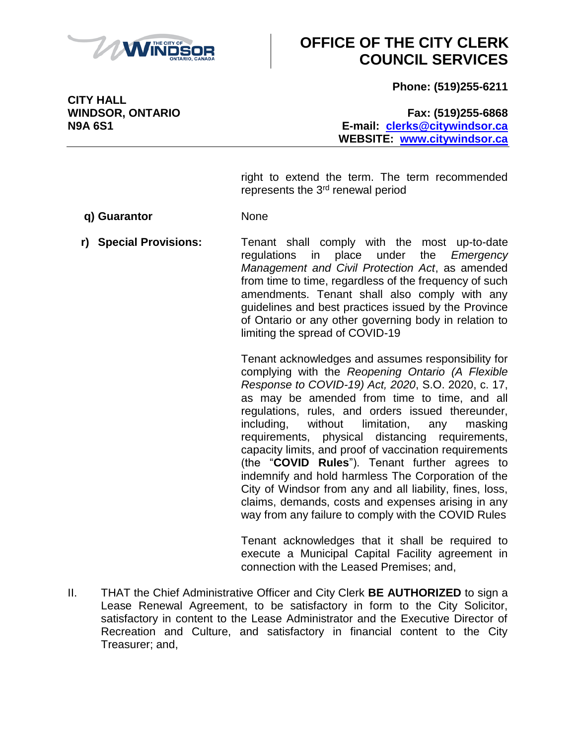

**Phone: (519)255-6211**

**WINDSOR, ONTARIO Fax: (519)255-6868 N9A 6S1 E-mail: [clerks@citywindsor.ca](mailto:clerks@citywindsor.ca) WEBSITE: [www.citywindsor.ca](http://www.citywindsor.ca/)**

> right to extend the term. The term recommended represents the 3rd renewal period

**q) Guarantor** None

**r) Special Provisions:** Tenant shall comply with the most up-to-date regulations in place under the *Emergency Management and Civil Protection Act*, as amended from time to time, regardless of the frequency of such amendments. Tenant shall also comply with any guidelines and best practices issued by the Province of Ontario or any other governing body in relation to limiting the spread of COVID-19

> Tenant acknowledges and assumes responsibility for complying with the *Reopening Ontario (A Flexible Response to COVID-19) Act, 2020*, S.O. 2020, c. 17, as may be amended from time to time, and all regulations, rules, and orders issued thereunder, including, without limitation, any masking requirements, physical distancing requirements, capacity limits, and proof of vaccination requirements (the "**COVID Rules**"). Tenant further agrees to indemnify and hold harmless The Corporation of the City of Windsor from any and all liability, fines, loss, claims, demands, costs and expenses arising in any way from any failure to comply with the COVID Rules

> Tenant acknowledges that it shall be required to execute a Municipal Capital Facility agreement in connection with the Leased Premises; and,

II. THAT the Chief Administrative Officer and City Clerk **BE AUTHORIZED** to sign a Lease Renewal Agreement, to be satisfactory in form to the City Solicitor, satisfactory in content to the Lease Administrator and the Executive Director of Recreation and Culture, and satisfactory in financial content to the City Treasurer; and,

**CITY HALL**